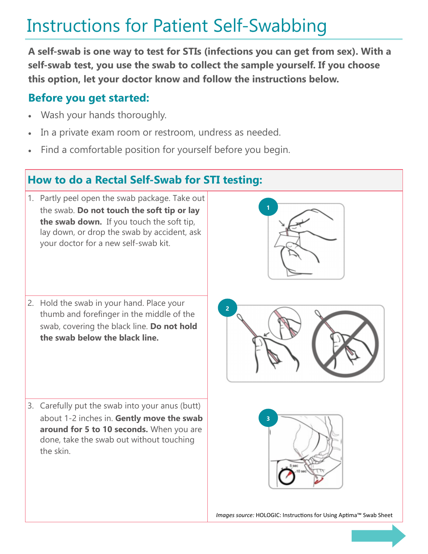## Instructions for Patient Self-Swabbing

**A self-swab is one way to test for STIs (infections you can get from sex). With a self-swab test, you use the swab to collect the sample yourself. If you choose this option, let your doctor know and follow the instructions below.**

## **Before you get started:**

- Wash your hands thoroughly.
- In a private exam room or restroom, undress as needed.
- Find a comfortable position for yourself before you begin.

## **How to do a Rectal Self-Swab for STI testing:**

- 1. Partly peel open the swab package. Take out the swab. **Do not touch the soft tip or lay the swab down.** If you touch the soft tip, lay down, or drop the swab by accident, ask your doctor for a new self-swab kit.
- 2. Hold the swab in your hand. Place your thumb and forefinger in the middle of the swab, covering the black line. **Do not hold the swab below the black line.**

3. Carefully put the swab into your anus (butt) about 1-2 inches in. **Gently move the swab around for 5 to 10 seconds.** When you are done, take the swab out without touching the skin.





*Images source:* HOLOGIC: Instructions for Using Aptima™ Swab Sheet